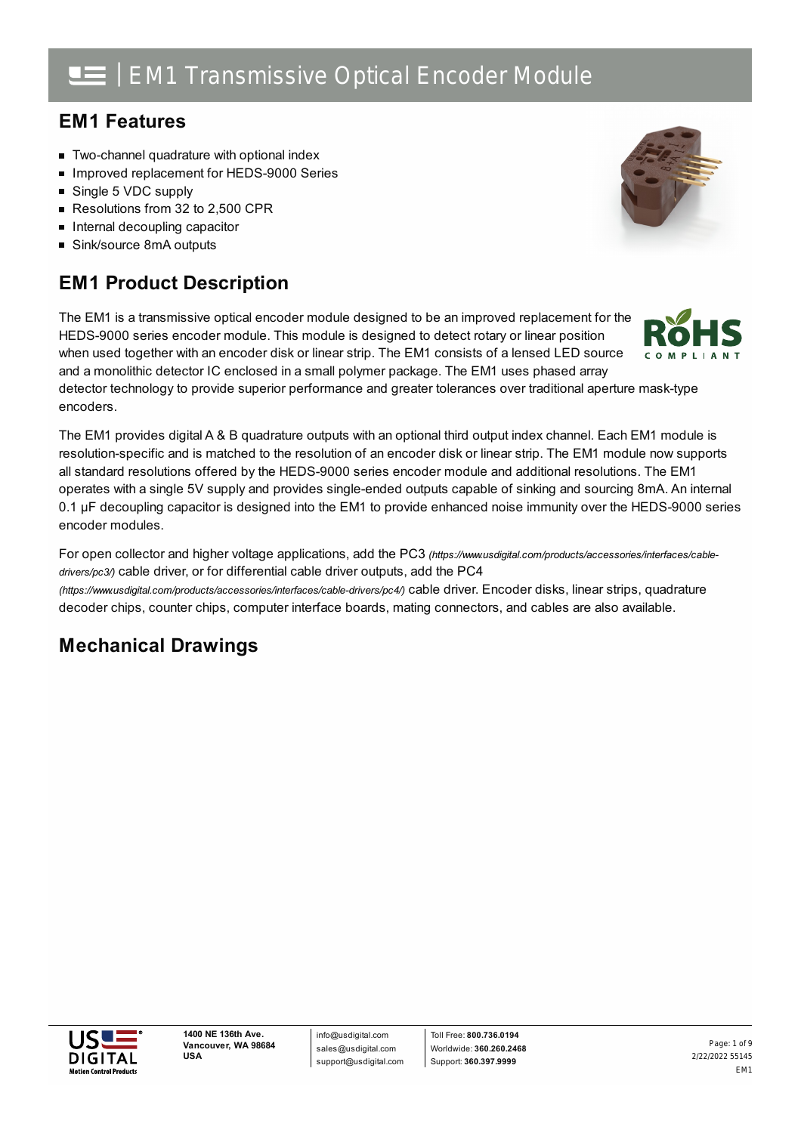## **EM1 Features**

- **Two-channel quadrature with optional index**
- Improved replacement for HEDS-9000 Series
- Single 5 VDC supply
- Resolutions from 32 to 2,500 CPR
- $\blacksquare$  Internal decoupling capacitor
- Sink/source 8mA outputs

## **EM1 Product Description**

The EM1 is a transmissive optical encoder module designed to be an improved replacement for the HEDS-9000 series encoder module. This module is designed to detect rotary or linear position when used together with an encoder disk or linear strip. The EM1 consists of a lensed LED source and a monolithic detector IC enclosed in a small polymer package. The EM1 uses phased array

detector technology to provide superior performance and greater tolerances over traditional aperture mask-type encoders.

The EM1 provides digital A & B quadrature outputs with an optional third output index channel. Each EM1 module is resolution-specific and is matched to the resolution of an encoder disk or linear strip. The EM1 module now supports all standard resolutions offered by the HEDS-9000 series encoder module and additional resolutions. The EM1 operates with a single 5V supply and provides single-ended outputs capable of sinking and sourcing 8mA. An internal 0.1 µF decoupling capacitor is designed into the EM1 to provide enhanced noise immunity over the HEDS-9000 series encoder modules.

For open collector and higher voltage applications, add the PC3 *[\(https://www.usdigital.com/products/accessories/interfaces/cable](https://www.usdigital.com/products/accessories/interfaces/cable-drivers/pc3/)drivers/pc3/)* cable driver, or for differential cable driver outputs, add the PC4

*(https://www.usdigital.com/products/accessories/interfaces/cable-drivers/pc4/)* cable driver. Encoder disks, linear strips, quadrature decoder chips, counter chips, computer interface boards, mating connectors, and cables are also available.

## **Mechanical Drawings**





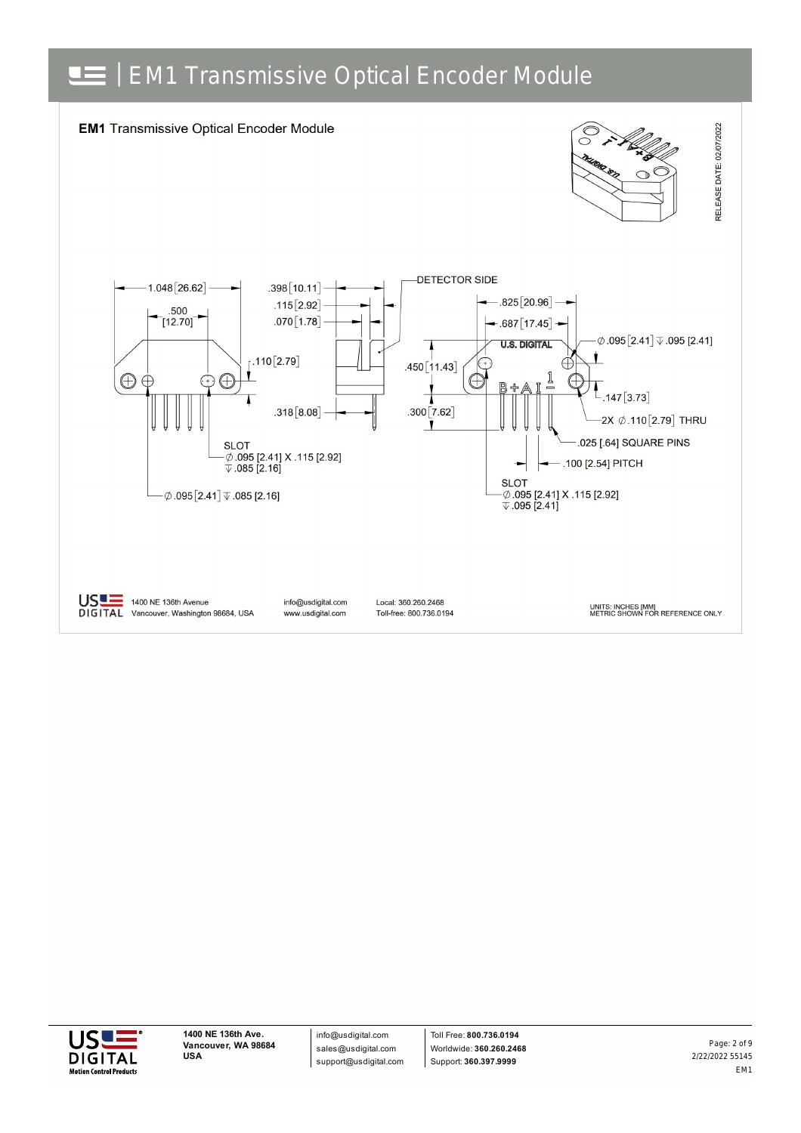



info@usdigital.com sales@usdigital.com support@usdigital.com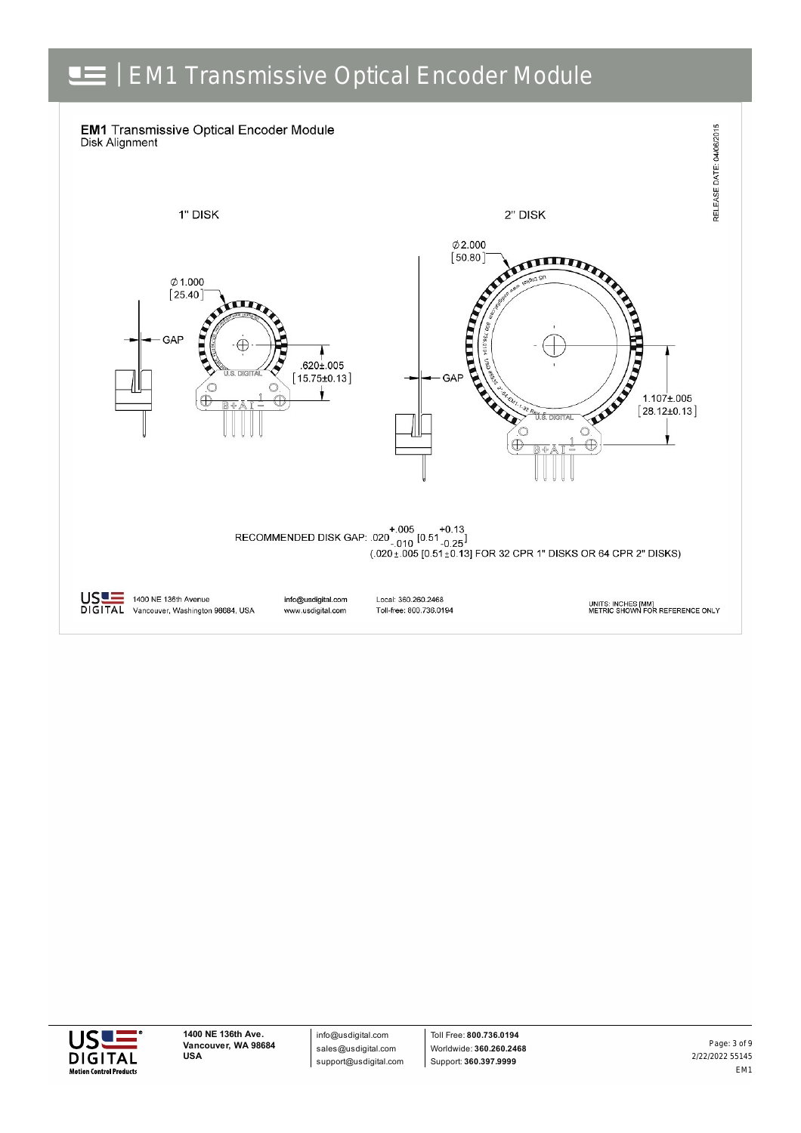



info@usdigital.com sales@usdigital.com support@usdigital.com

Toll Free: **800.736.0194** Worldwide: **360.260.2468** Support: **360.397.9999**

2/22/2022 55145 EM1 Page: 3 of 9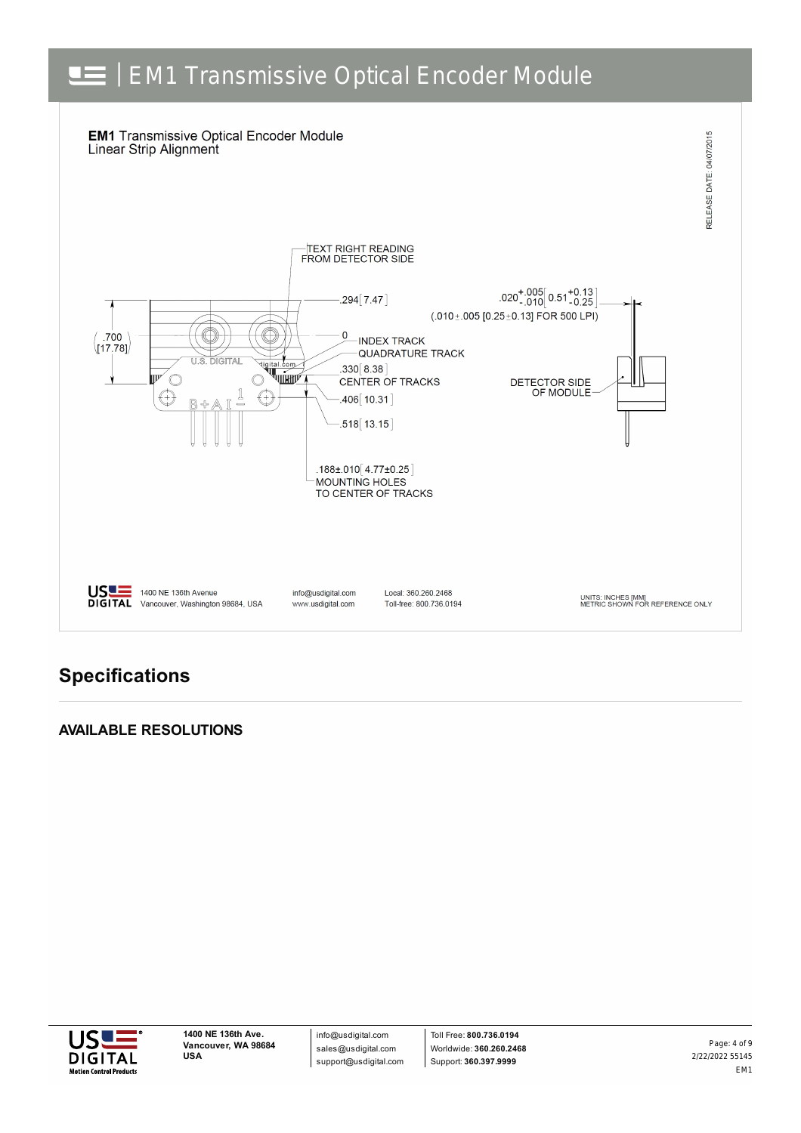

## **Specifications**

### **AVAILABLE RESOLUTIONS**



info@usdigital.com sales@usdigital.com support@usdigital.com

Toll Free: **800.736.0194** Worldwide: **360.260.2468** Support: **360.397.9999**

2/22/2022 55145 EM1 Page: 4 of 9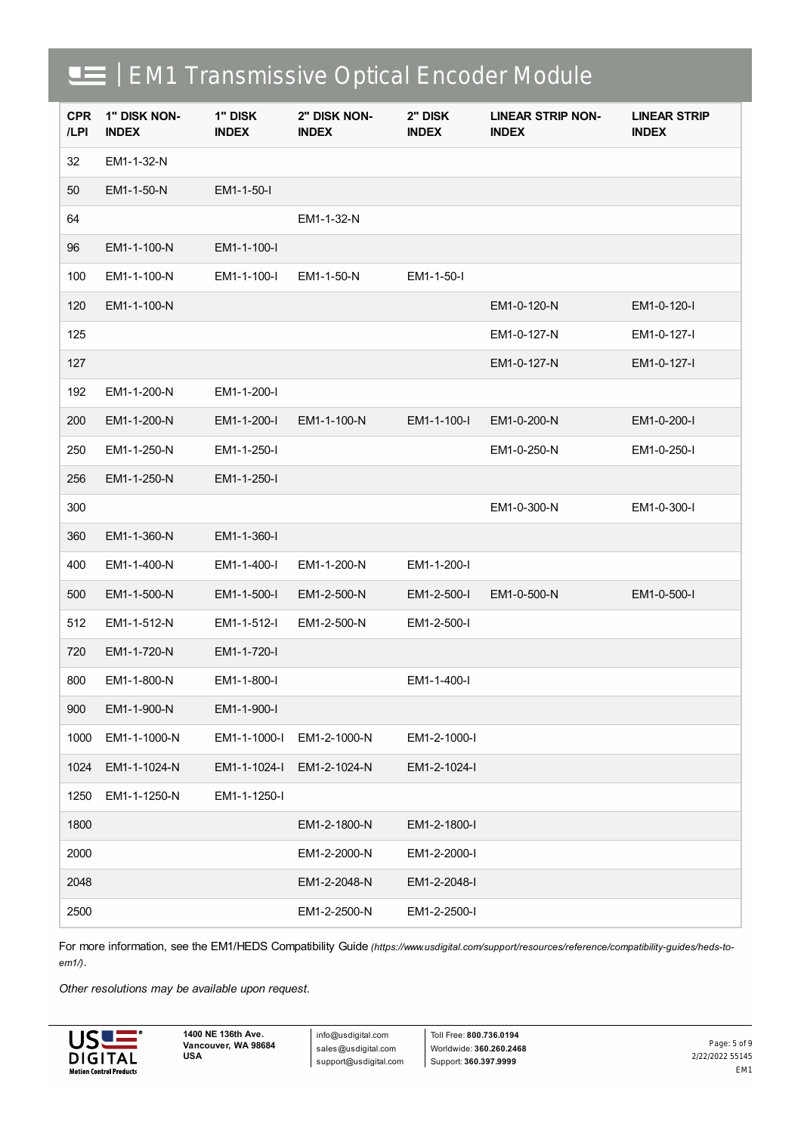| <b>CPR</b><br>/LPI | 1" DISK NON-<br><b>INDEX</b> | 1" DISK<br><b>INDEX</b> | 2" DISK NON-<br><b>INDEX</b> | 2" DISK<br><b>INDEX</b> | <b>LINEAR STRIP NON-</b><br><b>INDEX</b> | <b>LINEAR STRIP</b><br><b>INDEX</b> |
|--------------------|------------------------------|-------------------------|------------------------------|-------------------------|------------------------------------------|-------------------------------------|
| 32                 | EM1-1-32-N                   |                         |                              |                         |                                          |                                     |
| 50                 | EM1-1-50-N                   | EM1-1-50-I              |                              |                         |                                          |                                     |
| 64                 |                              |                         | EM1-1-32-N                   |                         |                                          |                                     |
| 96                 | EM1-1-100-N                  | EM1-1-100-I             |                              |                         |                                          |                                     |
| 100                | EM1-1-100-N                  | EM1-1-100-I             | EM1-1-50-N                   | EM1-1-50-I              |                                          |                                     |
| 120                | EM1-1-100-N                  |                         |                              |                         | EM1-0-120-N                              | EM1-0-120-I                         |
| 125                |                              |                         |                              |                         | EM1-0-127-N                              | EM1-0-127-I                         |
| 127                |                              |                         |                              |                         | EM1-0-127-N                              | EM1-0-127-I                         |
| 192                | EM1-1-200-N                  | EM1-1-200-I             |                              |                         |                                          |                                     |
| 200                | EM1-1-200-N                  | EM1-1-200-I             | EM1-1-100-N                  | EM1-1-100-I             | EM1-0-200-N                              | EM1-0-200-I                         |
| 250                | EM1-1-250-N                  | EM1-1-250-I             |                              |                         | EM1-0-250-N                              | EM1-0-250-I                         |
| 256                | EM1-1-250-N                  | EM1-1-250-I             |                              |                         |                                          |                                     |
| 300                |                              |                         |                              |                         | EM1-0-300-N                              | EM1-0-300-I                         |
| 360                | EM1-1-360-N                  | EM1-1-360-I             |                              |                         |                                          |                                     |
| 400                | EM1-1-400-N                  | EM1-1-400-I             | EM1-1-200-N                  | EM1-1-200-I             |                                          |                                     |
| 500                | EM1-1-500-N                  | EM1-1-500-I             | EM1-2-500-N                  | EM1-2-500-I             | EM1-0-500-N                              | EM1-0-500-I                         |
| 512                | EM1-1-512-N                  | EM1-1-512-I             | EM1-2-500-N                  | EM1-2-500-I             |                                          |                                     |
| 720                | EM1-1-720-N                  | EM1-1-720-I             |                              |                         |                                          |                                     |
| 800                | EM1-1-800-N                  | EM1-1-800-I             |                              | EM1-1-400-I             |                                          |                                     |
| 900                | EM1-1-900-N                  | EM1-1-900-I             |                              |                         |                                          |                                     |
| 1000               | EM1-1-1000-N                 | EM1-1-1000-I            | EM1-2-1000-N                 | EM1-2-1000-I            |                                          |                                     |
| 1024               | EM1-1-1024-N                 | EM1-1-1024-I            | EM1-2-1024-N                 | EM1-2-1024-I            |                                          |                                     |
| 1250               | EM1-1-1250-N                 | EM1-1-1250-I            |                              |                         |                                          |                                     |
| 1800               |                              |                         | EM1-2-1800-N                 | EM1-2-1800-I            |                                          |                                     |
| 2000               |                              |                         | EM1-2-2000-N                 | EM1-2-2000-I            |                                          |                                     |
| 2048               |                              |                         | EM1-2-2048-N                 | EM1-2-2048-I            |                                          |                                     |
| 2500               |                              |                         | EM1-2-2500-N                 | EM1-2-2500-I            |                                          |                                     |

For more information, see the EM1/HEDS Compatibility Guide [\(https://www.usdigital.com/support/resources/reference/compatibility-guides/heds-to](https://www.usdigital.com/support/resources/reference/compatibility-guides/heds-to-em1/)*em1/)*.

*Other resolutions may be available upon request.*



info@usdigital.com sales@usdigital.com support@usdigital.com

Toll Free: **800.736.0194** Worldwide: **360.260.2468** Support: **360.397.9999**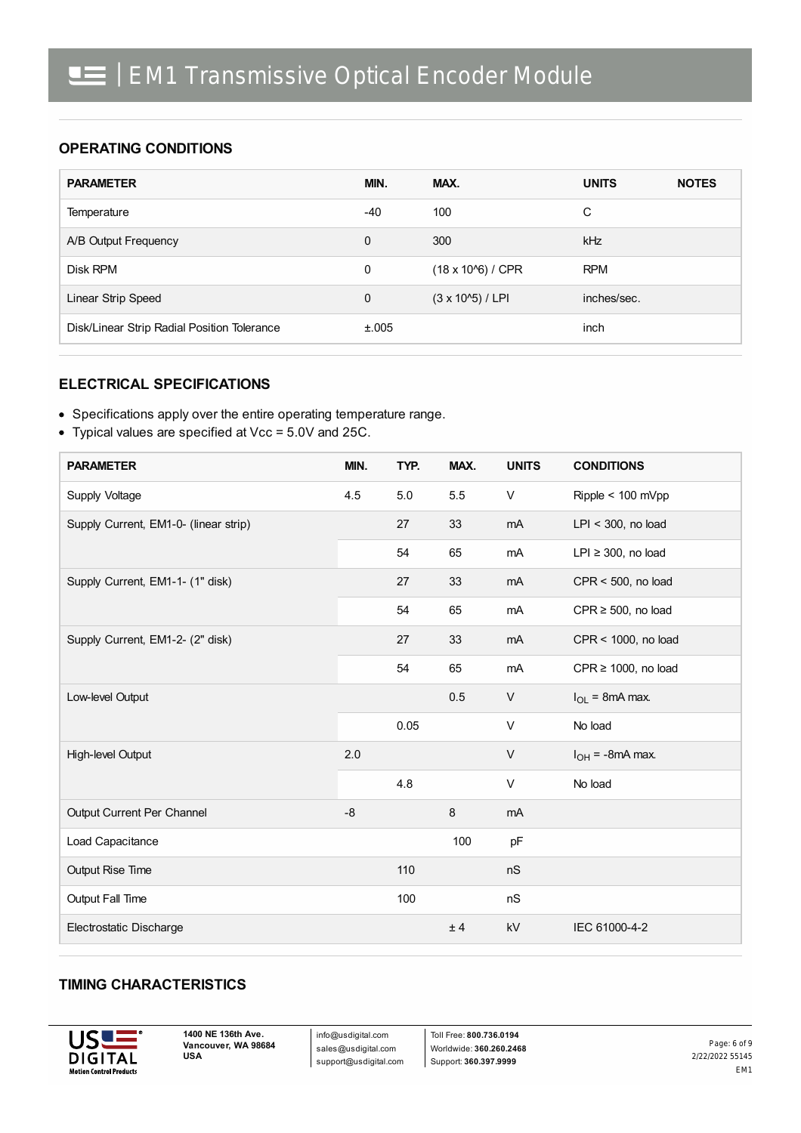### **OPERATING CONDITIONS**

| <b>PARAMETER</b>                            | MIN.        | MAX.                       | <b>UNITS</b> | <b>NOTES</b> |
|---------------------------------------------|-------------|----------------------------|--------------|--------------|
| Temperature                                 | $-40$       | 100                        | C            |              |
| A/B Output Frequency                        | $\Omega$    | 300                        | kHz          |              |
| Disk RPM                                    | 0           | $(18 \times 10^{6})$ / CPR | <b>RPM</b>   |              |
| Linear Strip Speed                          | $\mathbf 0$ | $(3 \times 10^{6})$ / LPI  | inches/sec.  |              |
| Disk/Linear Strip Radial Position Tolerance | ±.005       |                            | inch         |              |

#### **ELECTRICAL SPECIFICATIONS**

- Specifications apply over the entire operating temperature range.
- Typical values are specified at Vcc = 5.0V and 25C.

| <b>PARAMETER</b>                      | MIN. | TYP. | MAX.    | <b>UNITS</b> | <b>CONDITIONS</b>        |
|---------------------------------------|------|------|---------|--------------|--------------------------|
| Supply Voltage                        | 4.5  | 5.0  | 5.5     | V            | Ripple < 100 mVpp        |
| Supply Current, EM1-0- (linear strip) |      | 27   | 33      | mA           | $LPI < 300$ , no load    |
|                                       |      | 54   | 65      | mA           | $LPI \geq 300$ , no load |
| Supply Current, EM1-1- (1" disk)      |      | 27   | 33      | mA           | $CPR < 500$ , no load    |
|                                       |      | 54   | 65      | mA           | CPR $\geq$ 500, no load  |
| Supply Current, EM1-2- (2" disk)      |      | 27   | 33      | mA           | CPR < 1000, no load      |
|                                       |      | 54   | 65      | mA           | $CPR \ge 1000$ , no load |
| Low-level Output                      |      |      | 0.5     | $\vee$       | $I_{OL}$ = 8mA max.      |
|                                       |      | 0.05 |         | $\vee$       | No load                  |
| High-level Output                     | 2.0  |      |         | $\vee$       | $I_{OH}$ = -8mA max.     |
|                                       |      | 4.8  |         | V            | No load                  |
| Output Current Per Channel            | $-8$ |      | $\,8\,$ | mA           |                          |
| Load Capacitance                      |      |      | 100     | pF           |                          |
| Output Rise Time                      |      | 110  |         | nS           |                          |
| Output Fall Time                      |      | 100  |         | nS           |                          |
| Electrostatic Discharge               |      |      | ± 4     | kV           | IEC 61000-4-2            |

#### **TIMING CHARACTERISTICS**



info@usdigital.com sales@usdigital.com support@usdigital.com

Toll Free: **800.736.0194** Worldwide: **360.260.2468** Support: **360.397.9999**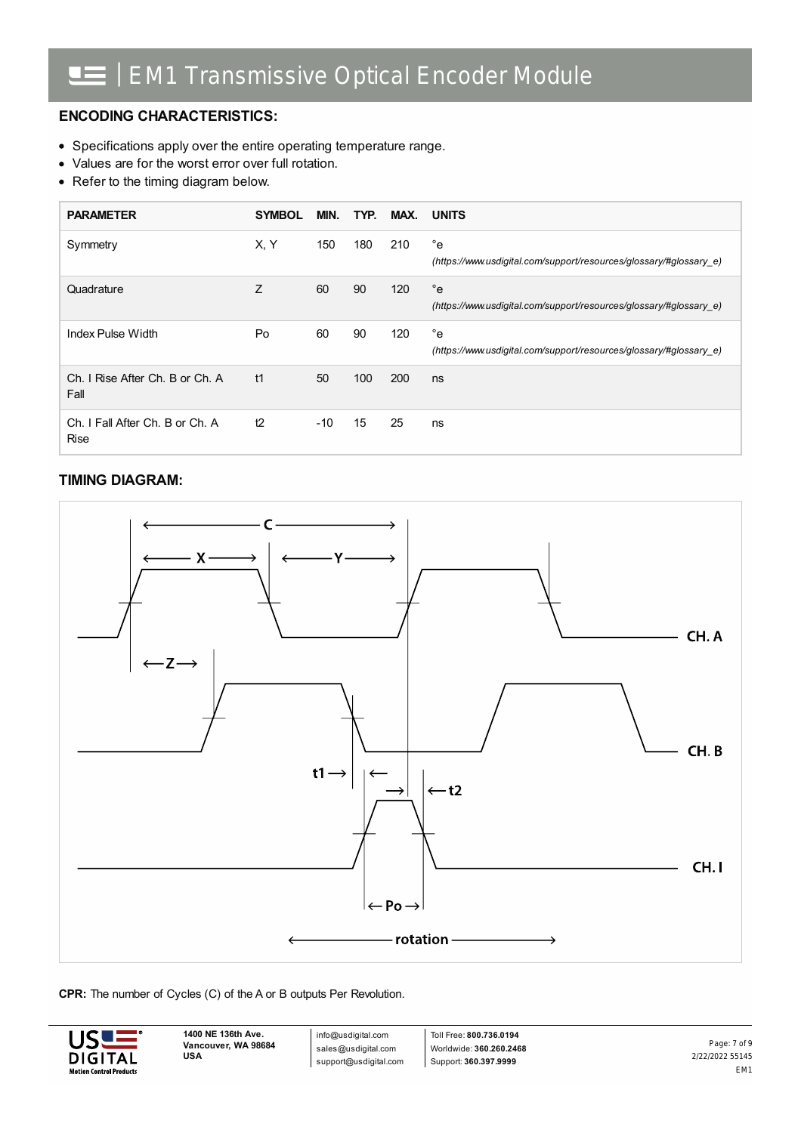### **ENCODING CHARACTERISTICS:**

- Specifications apply over the entire operating temperature range.
- Values are for the worst error over full rotation.
- Refer to the timing diagram below.

| <b>PARAMETER</b>                               | <b>SYMBOL</b> | MIN.  | TYP. | MAX. | <b>UNITS</b>                                                                       |
|------------------------------------------------|---------------|-------|------|------|------------------------------------------------------------------------------------|
| Symmetry                                       | X, Y          | 150   | 180  | 210  | $^{\circ}$ e<br>(https://www.usdigital.com/support/resources/glossary/#glossary e) |
| Quadrature                                     | Z             | 60    | 90   | 120  | $^{\circ}$ e<br>(https://www.usdigital.com/support/resources/glossary/#glossary e) |
| Index Pulse Width                              | Po            | 60    | 90   | 120  | $^{\circ}$ e<br>(https://www.usdigital.com/support/resources/glossary/#glossary e) |
| Ch. I Rise After Ch. B or Ch. A<br>Fall        | t1            | 50    | 100  | 200  | ns                                                                                 |
| Ch. I Fall After Ch. B or Ch. A<br><b>Rise</b> | t2            | $-10$ | 15   | 25   | ns                                                                                 |

### **TIMING DIAGRAM:**



#### **CPR:** The number of Cycles (C) of the A or B outputs Per Revolution.



info@usdigital.com sales@usdigital.com support@usdigital.com

Toll Free: **800.736.0194** Worldwide: **360.260.2468** Support: **360.397.9999**

2/22/2022 55145 EM1 Page: 7 of 9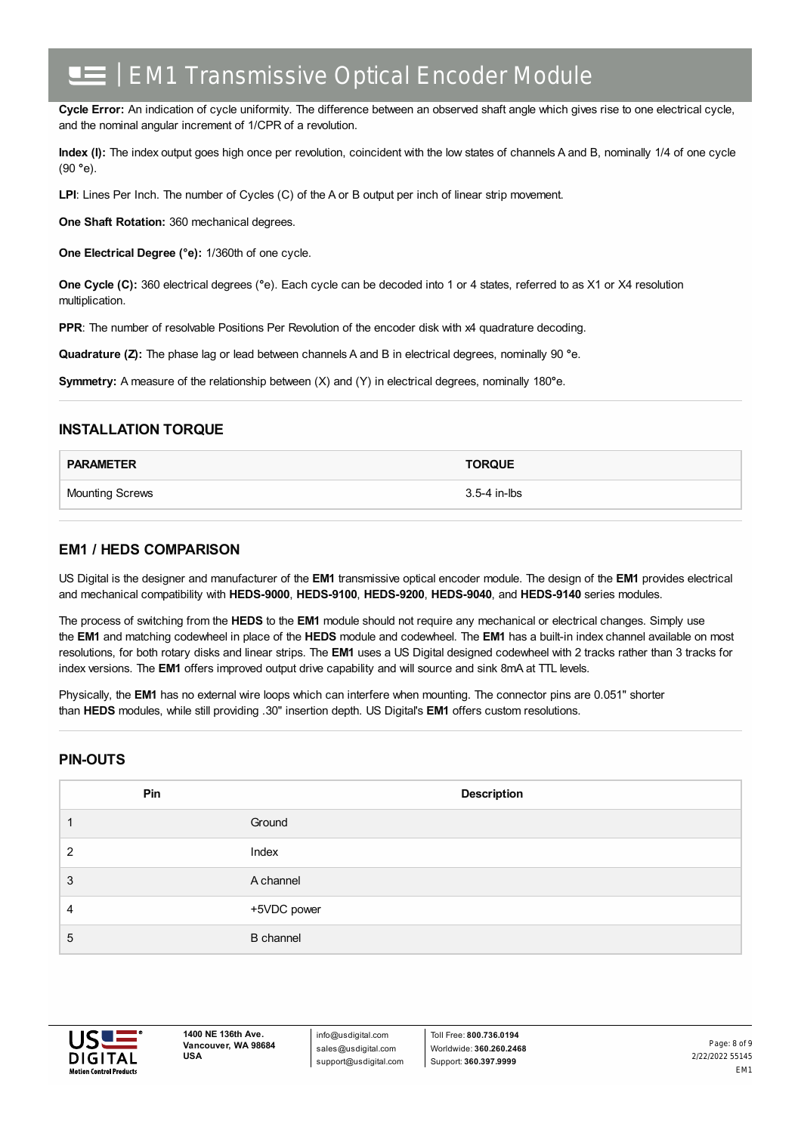**Cycle Error:** An indication of cycle uniformity. The difference between an observed shaft angle which gives rise to one electrical cycle, and the nominal angular increment of 1/CPR of a revolution.

**Index (I):** The index output goes high once per revolution, coincident with the low states of channels A and B, nominally 1/4 of one cycle (90 **°**e).

**LPI**: Lines Per Inch. The number of Cycles (C) of the A or B output per inch of linear strip movement.

**One Shaft Rotation:** 360 mechanical degrees.

**One Electrical Degree (°e):** 1/360th of one cycle.

**One Cycle (C):** 360 electrical degrees (**°**e). Each cycle can be decoded into 1 or 4 states, referred to as X1 or X4 resolution multiplication.

**PPR:** The number of resolvable Positions Per Revolution of the encoder disk with x4 quadrature decoding.

**Quadrature (Z):** The phase lag or lead between channels A and B in electrical degrees, nominally 90 **°**e.

**Symmetry:** A measure of the relationship between (X) and (Y) in electrical degrees, nominally 180**°**e.

#### **INSTALLATION TORQUE**

| <b>PARAMETER</b>       | <b>TORQUE</b> |
|------------------------|---------------|
| <b>Mounting Screws</b> | 3.5-4 in-lbs  |

#### **EM1 / HEDS COMPARISON**

US Digital is the designer and manufacturer of the **EM1** transmissive optical encoder module. The design of the **EM1** provides electrical and mechanical compatibility with **HEDS-9000**, **HEDS-9100**, **HEDS-9200**, **HEDS-9040**, and **HEDS-9140** series modules.

The process of switching from the **HEDS** to the **EM1** module should not require any mechanical or electrical changes. Simply use the **EM1** and matching codewheel in place of the **HEDS** module and codewheel. The **EM1** has a built-in index channel available on most resolutions, for both rotary disks and linear strips. The **EM1** uses a US Digital designed codewheel with 2 tracks rather than 3 tracks for index versions. The **EM1** offers improved output drive capability and will source and sink 8mA at TTL levels.

Physically, the **EM1** has no external wire loops which can interfere when mounting. The connector pins are 0.051" shorter than **HEDS** modules, while still providing .30" insertion depth. US Digital's **EM1** offers custom resolutions.

#### **PIN-OUTS**

| Pin | <b>Description</b> |
|-----|--------------------|
|     | Ground             |
| 2   | Index              |
| 3   | A channel          |
| 4   | +5VDC power        |
| 5   | <b>B</b> channel   |



info@usdigital.com sales@usdigital.com support@usdigital.com

Toll Free: **800.736.0194** Worldwide: **360.260.2468** Support: **360.397.9999**

2/22/2022 55145 EM1 Page: 8 of 9